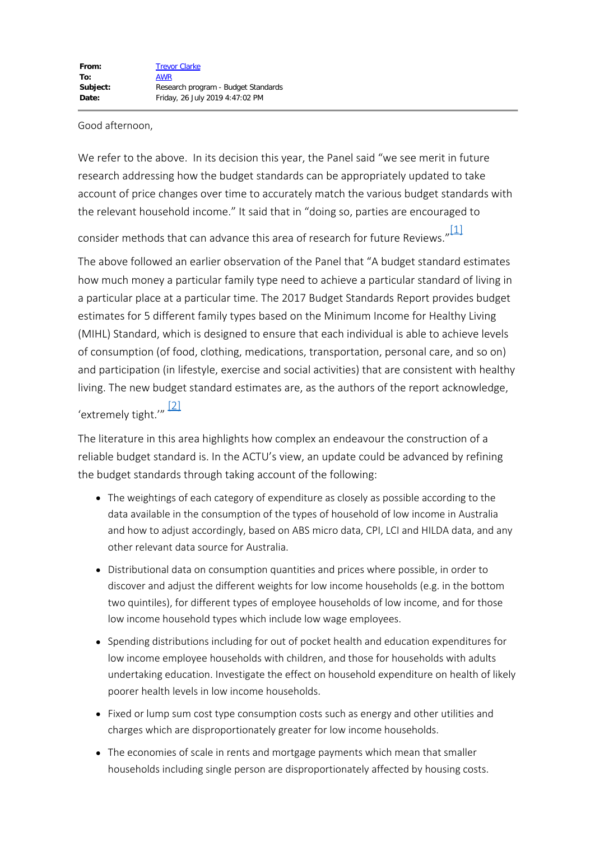Good afternoon,

We refer to the above. In its decision this year, the Panel said "we see merit in future research addressing how the budget standards can be appropriately updated to take account of price changes over time to accurately match the various budget standards with the relevant household income." It said that in "doing so, parties are encouraged to

<span id="page-0-0"></span>consider methods that can advance this area of research for future Reviews." $\frac{11}{11}$ 

The above followed an earlier observation of the Panel that "A budget standard estimates how much money a particular family type need to achieve a particular standard of living in a particular place at a particular time. The 2017 Budget Standards Report provides budget estimates for 5 different family types based on the Minimum Income for Healthy Living (MIHL) Standard, which is designed to ensure that each individual is able to achieve levels of consumption (of food, clothing, medications, transportation, personal care, and so on) and participation (in lifestyle, exercise and social activities) that are consistent with healthy living. The new budget standard estimates are, as the authors of the report acknowledge,

<span id="page-0-1"></span>'extremely tight.'" [\[2\]](#page-2-1)

The literature in this area highlights how complex an endeavour the construction of a reliable budget standard is. In the ACTU's view, an update could be advanced by refining the budget standards through taking account of the following:

- The weightings of each category of expenditure as closely as possible according to the data available in the consumption of the types of household of low income in Australia and how to adjust accordingly, based on ABS micro data, CPI, LCI and HILDA data, and any other relevant data source for Australia.
- Distributional data on consumption quantities and prices where possible, in order to discover and adjust the different weights for low income households (e.g. in the bottom two quintiles), for different types of employee households of low income, and for those low income household types which include low wage employees.
- Spending distributions including for out of pocket health and education expenditures for low income employee households with children, and those for households with adults undertaking education. Investigate the effect on household expenditure on health of likely poorer health levels in low income households.
- Fixed or lump sum cost type consumption costs such as energy and other utilities and charges which are disproportionately greater for low income households.
- The economies of scale in rents and mortgage payments which mean that smaller households including single person are disproportionately affected by housing costs.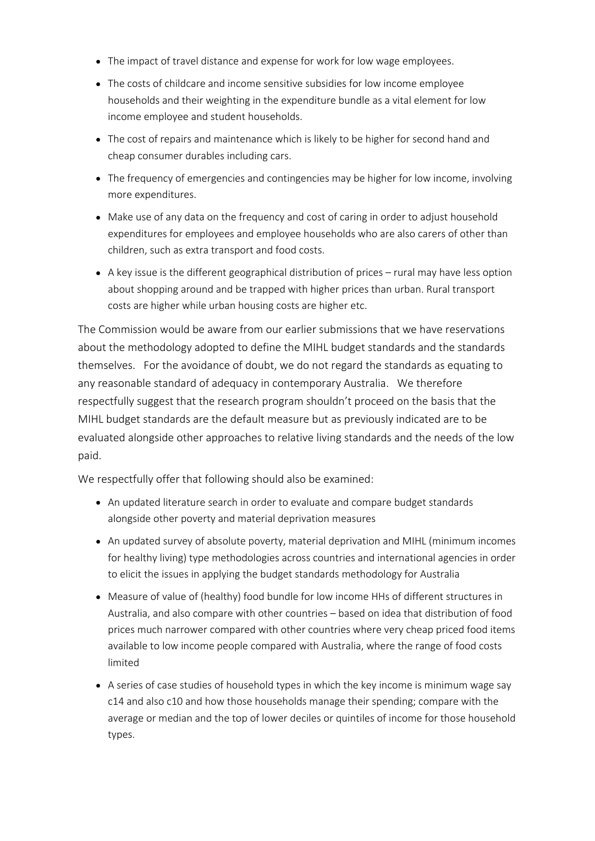- The impact of travel distance and expense for work for low wage employees.
- The costs of childcare and income sensitive subsidies for low income employee households and their weighting in the expenditure bundle as a vital element for low income employee and student households.
- The cost of repairs and maintenance which is likely to be higher for second hand and cheap consumer durables including cars.
- The frequency of emergencies and contingencies may be higher for low income, involving more expenditures.
- Make use of any data on the frequency and cost of caring in order to adjust household expenditures for employees and employee households who are also carers of other than children, such as extra transport and food costs.
- A key issue is the different geographical distribution of prices rural may have less option about shopping around and be trapped with higher prices than urban. Rural transport costs are higher while urban housing costs are higher etc.

The Commission would be aware from our earlier submissions that we have reservations about the methodology adopted to define the MIHL budget standards and the standards themselves. For the avoidance of doubt, we do not regard the standards as equating to any reasonable standard of adequacy in contemporary Australia. We therefore respectfully suggest that the research program shouldn't proceed on the basis that the MIHL budget standards are the default measure but as previously indicated are to be evaluated alongside other approaches to relative living standards and the needs of the low paid.

We respectfully offer that following should also be examined:

- An updated literature search in order to evaluate and compare budget standards alongside other poverty and material deprivation measures
- An updated survey of absolute poverty, material deprivation and MIHL (minimum incomes for healthy living) type methodologies across countries and international agencies in order to elicit the issues in applying the budget standards methodology for Australia
- Measure of value of (healthy) food bundle for low income HHs of different structures in Australia, and also compare with other countries – based on idea that distribution of food prices much narrower compared with other countries where very cheap priced food items available to low income people compared with Australia, where the range of food costs limited
- A series of case studies of household types in which the key income is minimum wage say c14 and also c10 and how those households manage their spending; compare with the average or median and the top of lower deciles or quintiles of income for those household types.